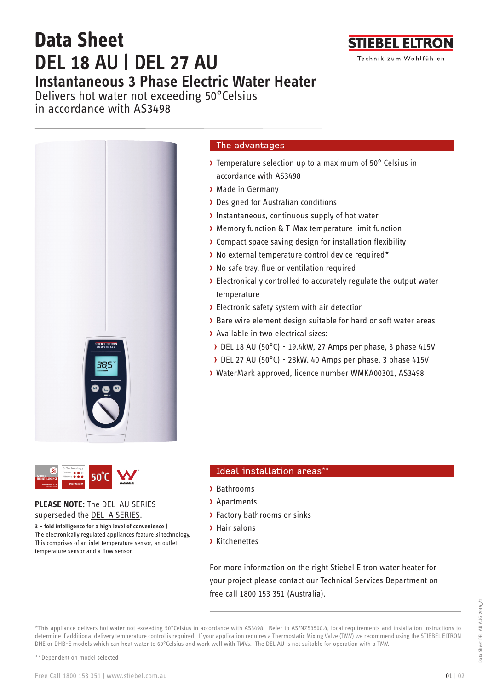# **Data Sheet DEL 18 AU | DEL 27 AU Instantaneous 3 Phase Electric Water Heater**

**TIEBEL ELTRO** Technik zum Wohlfühlen

Delivers hot water not exceeding 50**°**Celsius in accordance with AS3498





## **PLEASE NOTE:** The DEL AU SERIES superseded the DEL A SERIES.

**3 – fold intelligence for a high level of convenience |** The electronically regulated appliances feature 3i technology. This comprises of an inlet temperature sensor, an outlet temperature sensor and a flow sensor.

## The advantages

- › Temperature selection up to a maximum of 50° Celsius in accordance with AS3498
- › Made in Germany
- › Designed for Australian conditions
- › Instantaneous, continuous supply of hot water
- › Memory function & T-Max temperature limit function
- › Compact space saving design for installation flexibility
- › No external temperature control device required\*
- › No safe tray, flue or ventilation required
- › Electronically controlled to accurately regulate the output water temperature
- › Electronic safety system with air detection
- › Bare wire element design suitable for hard or soft water areas
- › Available in two electrical sizes:
- › DEL 18 AU (50°C) 19.4kW, 27 Amps per phase, 3 phase 415V
- › DEL 27 AU (50°C) 28kW, 40 Amps per phase, 3 phase 415V
- › WaterMark approved, licence number WMKA00301, AS3498

# Ideal installation areas\*

- › Bathrooms
- › Apartments
- › Factory bathrooms or sinks
- › Hair salons
- › Kitchenettes

For more information on the right Stiebel Eltron water heater for your project please contact our Technical Services Department on free call 1800 153 351 (Australia).

\*This appliance delivers hot water not exceeding 50°Celsius in accordance with AS3498. Refer to AS/NZS3500.4, local requirements and installation instructions to determine if additional delivery temperature control is required. If your application requires a Thermostatic Mixing Valve (TMV) we recommend using the STIEBEL ELTRON DHE or DHB-E models which can heat water to 60°Celsius and work well with TMVs. The DEL AU is not suitable for operation with a TMV.

\*\*Dependent on model selected